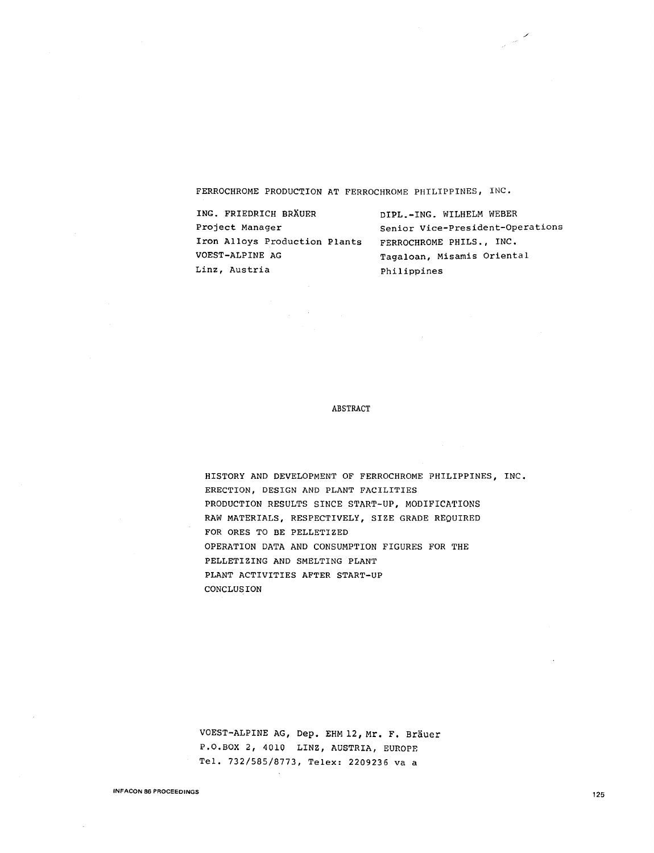FERROCHROME PRODUCTION AT FERROCHROME PHILIPPINES, INC.

| ING. FRIEDRICH BRÄUER         | DIPL.-ING. WILHELM WEBER         |
|-------------------------------|----------------------------------|
| Project Manager               | Senior Vice-President-Operations |
| Iron Alloys Production Plants | FERROCHROME PHILS., INC.         |
| VOEST-ALPINE AG               | Tagaloan, Misamis Oriental       |
| Linz, Austria                 | Philippines                      |

 $\mathbb{R}^2$ 

#### ABSTRACT

HISTORY AND DEVELOPMENT OF FERROCHROME PHILIPPINES, INC. ERECTION, DESIGN AND PLANT FACILITIES PRODUCTION RESULTS SINCE START-UP, MODIFICATIONS RAW MATERIALS, RESPECTIVELY, SIZE GRADE REQUIRED FOR ORES TO BE PELLETIZED OPERATION DATA AND CONSUMPTION FIGURES FOR THE PELLETIZING AND SMELTING PLANT PLANT ACTIVITIES AFTER START-UP CONCLUSION

VOEST-ALPINE AG, Dep. EHM 12, Mr. F. Brauer P.0.BOX 2, 4010 LINZ, AUSTRIA, EUROPE Tel. 732/585/8773, Telex: 2209236 va a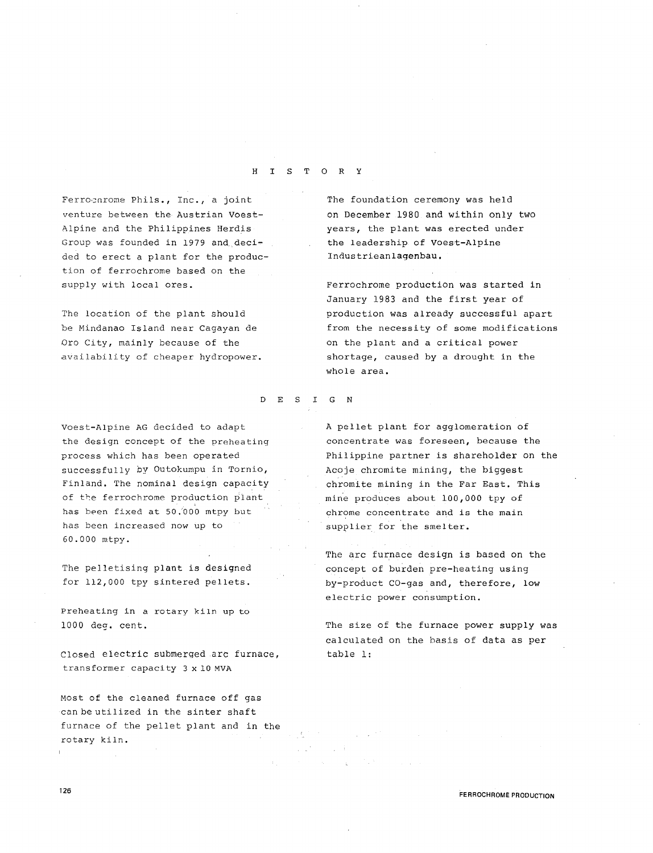### H I S T 0 R Y

Ferrocnrome Phils., Inc., a joint venture between the Austrian Voest-Alpine and the Philippines Herdis Group was founded in 1979 and decided to erect a plant for the production of ferrochrome based on the supply with local ores.

The location of the plant should be Mindanao Island near Cagayan de Oro City, mainly because of the availability of cheaper hydropower.

Voest-Alpine AG decided to adapt the design concept of the preheating process which has been operated successfully by Outokumpu in Tornio, Finland. The nominal design capacity of the ferrochrome production plant has been fixed at 50.'000 mtpy but has been increased now up to 60.000 mtpy.

The pelletising plant is designed for 112,000 tpy sintered pellets.

Preheating in a rotary kiln up to 1000 deq. cent.

Closed electric submerged arc furnace, transformer capacity 3 x 10 MVA

Most of the cleaned furnace off gas can be utilized in the sinter shaft furnace of the pellet plant and in the rotary kiln.

The foundation ceremony was held on December 1980 and within only two years, the plant was erected under the leadership of Voest-Alpine Industrieanlagenbau.

Ferrochrome production was started in January 1983 and the first year of production was already successful apart from the necessity of some modifications on the plant and a critical power shortage, caused by a drought in the whole area.

### D E S I G N

A pellet plant for agglomeration of concentrate was foreseen, because the Philippine partner is shareholder on the Acoje chromite mining, the biggest chromite mining in the Far East. This mine produces about 100,000 tpy of chrome concentrate and is the main supplier for the smelter.

The arc furnace design is based on the concept of burden pre-heating using by-product CO-gas and, therefore, low electric power consumption.

The size of the furnace power supply was calculated on the basis of data as per table 1:

FERROCHROME PRODUCTION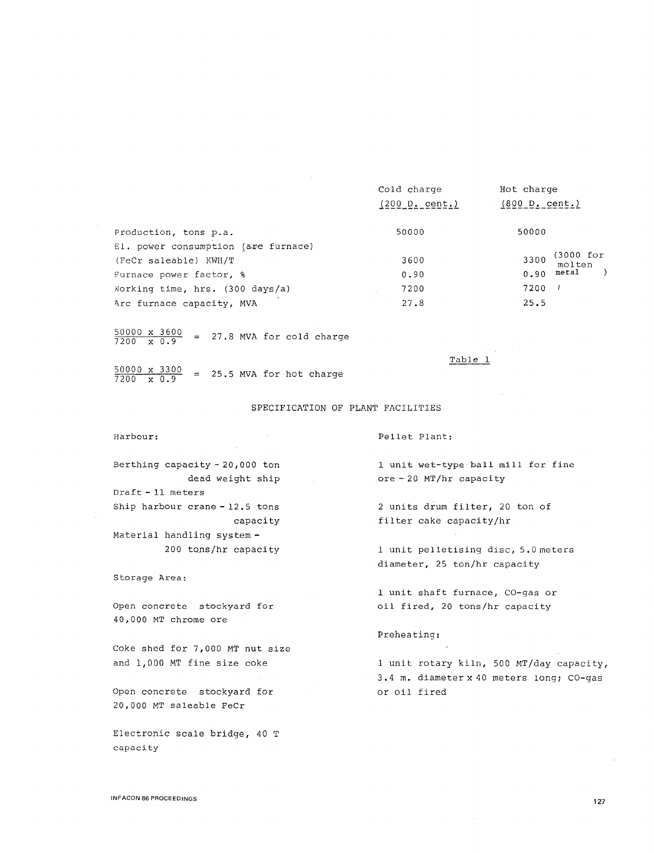|                                     | Cold charge<br>(200 D. cent.) | Hot charge<br>(800 D, cent.) |
|-------------------------------------|-------------------------------|------------------------------|
| Production, tons p.a.               | 50000                         | 50000                        |
| El. power consumption (are furnace) |                               |                              |
| (FeCr saleable) KWH/T               | 3600                          | (3000 for<br>3300<br>molten  |
| Furnace power factor, %             | 0.90                          | metal<br>0.90                |
| Working time, hrs. (300 days/a)     | 7200                          | 7200                         |
| Arc furnace capacity, MVA           | 27.8                          | 25.5                         |

 $\frac{50000 \times 3600}{7200 \times 0.9}$  = 27.8 MVA for cold charge

 $\frac{50000 \times 3300}{7200 \times 0.9}$  = 25.5 MVA for hot charge

#### SPECIFICATION OF PLANT FACILITIES

Harbour:

Pellet Plant:

1 unit wet-type ball mill for fine ore - 20 MT/hr capacity

Table 1

2 units drum filter, 20 ton of filter cake capacity/hr

1 unit pelletising disc, 5.0meters diameter, 25 ton/hr capacity

1 unit shaft furnace, CO-gas or oil fired, 20 tons/hr capacity

Preheating:

1 unit rotary kiln, 500 MT/day capacity, 3. 4 m. diameter x 40 meters long; CO-gas or oil fired

dead weight ship Draft - 11 meters Ship harbour crane - 12.5 tons capacity Material handling system -

Berthing capacity - 20, 000 ton

200 tons/hr capacity

Storage Area:

Open concrete stockyard for 40,000 MT chrome ore

Coke shed for 7,000 MT nut size and 1,000 MT fine size coke

Open concrete stockyard for 20,000 MT saleable FeCr

Electronic scale bridge, 40 T capacity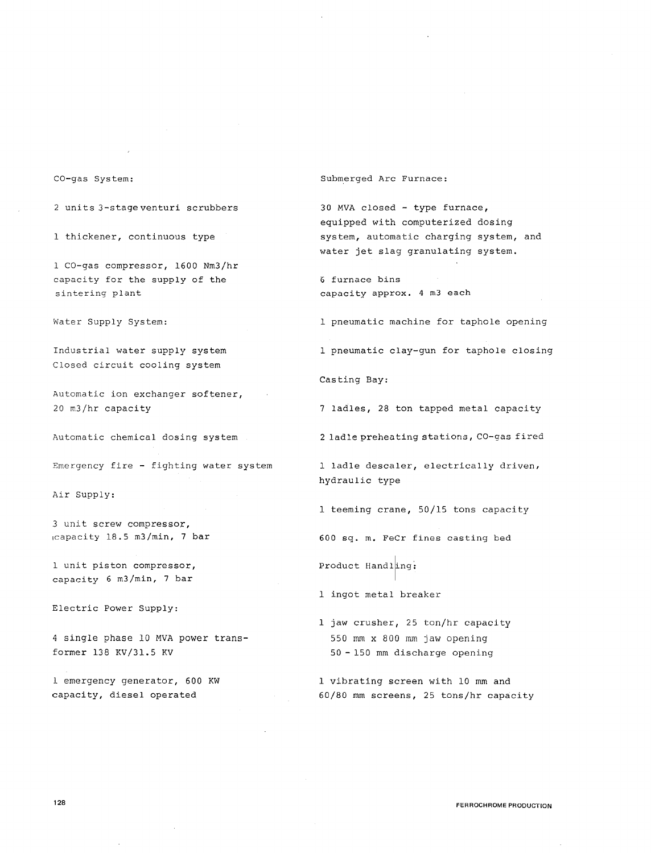### CO-gas System:

2 units3-stageventuri scrubbers

1 thickener, continuous type

1 CO-gas compressor, 1600 Nm3/hr capacity for the supply of the sintering plant

Water Supply System:

Industrial water supply system Closed circuit cooling system

Automatic ion exchanger softener, 20 m3/hr capacity

Automatic chemical dosing system

Emergency fire - fighting water system

Air Supply:

3 unit screw compressor, 1capacity 18.5 m3/min, 7 bar

1 unit piston compressor, capacity 6 m3/min, 7 bar

Electric Power Supply:

4 single phase 10 MVA power transformer 138 KV/31.5 KV

1 emergency generator, 600 KW capacity, diesel operated

Submerged Arc Furnace:

30 MVA closed - type furnace, equipped with computerized dosing system, automatic charging system, and water jet slag granulating system.

6 furnace bins capacity approx. 4 m3 each

1 pneumatic machine for taphole opening

1 pneumatic clay-gun for taphole closing

Casting Bay:

7 ladles, 28 ton tapped metal capacity

2 ladle preheating stations, CO-gas fired

1 ladle descaler, electrically driven, hydraulic type

1 teeming crane, 50/15 tons capacity

600 sq. m. FeCr fines casting bed

Product Handling;

1 ingot metal breaker

1 jaw crusher, 25 ton/hr capacity 550 mm x 800 mm jaw opening 50 - 150 mm discharge opening

1 vibrating screen with 10 mm and 60/80 mm screens, 25 tons/hr capacity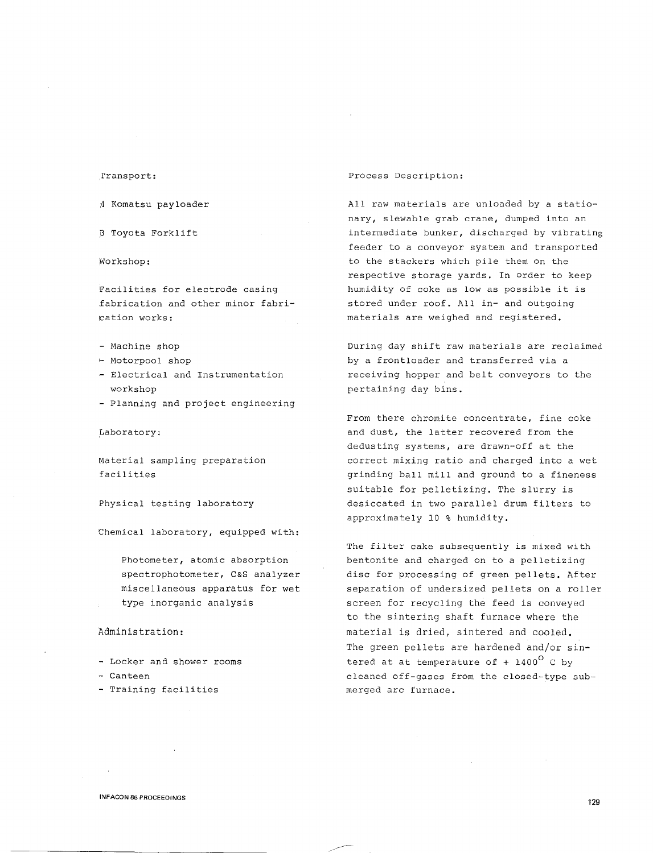### ,rransport:

4 Komatsu payloader

8 Toyota Forklift

Workshop:

Facilities for electrode casing £abrication and other minor fabriration works:

- Machine shop
- '- Motorpool shop
- Electrical and Instrumentation workshop
- Planning and project engineering

,Laboratory:

Material sampling preparation facilities

Physical testing laboratory

Chemical laboratory, equipped with:

Photometer, atomic absorption spectrophotometer, C&S analyzer miscellaneous apparatus for wet type inorganic analysis

### Administration:

- Locker and shower rooms
- Canteen
- Training facilities

### Process Description:

All raw materials are unloaded by a stationary, slewable grab crane, dumped into an intermediate bunker, discharged by vibrating feeder to a conveyor system and transported to the stackers which pile them on the respective storage yards. In order to keep humidity of coke as low as possible it is stored under roof. All in- and outgoing materials are weighed and registered.

During day shift raw materials are reclaimed by a frontloader and transferred via a receiving hopper and belt conveyors to the pertaining day bins.

From there chromite concentrate, fine coke and dust, the latter recovered from the dedusting systems, are drawn-off at the correct mixing ratio and charged into a wet grinding ball mill and ground to a fineness suitable for pelletizing. The slurry is desiccated in two parallel drum filters to approximately 10 % humidity.

The filter cake subsequently is mixed with bentonite and charged on to a pelletizing disc for processing of green pellets. After separation of undersized pellets on a roller screen for recycling the feed is conveyed to the sintering shaft furnace where the material is dried, sintered and cooled. The green pellets are hardened and/or sintered at at temperature of +  $1400^{\circ}$  C by cleaned off-gases from the closed-type submerged arc furnace.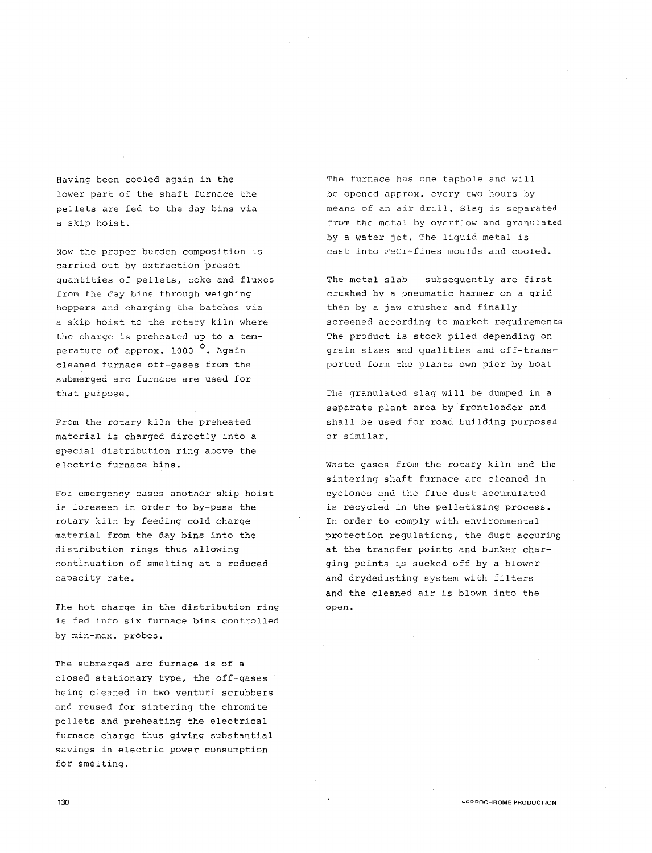Having been cooled again in the lower part of the shaft furnace the pellets are fed to the day bins via a skip hoist.

Now the proper burden composition is carried out by extraction preset quantities of pellets, coke and fluxes from the day bins through weighing hoppers and charging the batches via a skip hoist to the rotary kiln where the charge is preheated up to a temperature of approx. 1000<sup>o</sup>. Again cleaned furnace off-gases from the submerged arc furnace are used for that purpose.

From the rotary kiln the preheated material is charged directly into a special distribution ring above the electric furnace bins.

For emergency cases another skip hoist is foreseen in order to by-pass the rotary kiln by feeding cold charge material from the day bins into the distribution rings thus allowing continuation of smelting at a reduced capacity rate.

The hot charge in the distribution ring is fed into six furnace bins controlled by min-max. probes.

The submerged arc furnace is of a closed stationary type, the off-gases being cleaned in two venturi scrubbers and reused for sintering the chromite pellets and preheating the electrical furnace charge thus giving substantial savings in electric power consumption for smelting.

The furnace has one taphole and will be opened approx. every two hours by means of an air drill. Slag is separated from the metal by overflow and granulated by a water jet. The liquid metal is cast into FeCr-fines moulds and cooled.

The metal slab subsequently are first crushed by a pneumatic hammer on a grid then by a jaw crusher and finally screened according to market requirements The product is stock piled depending on grain sizes and qualities and off-transported form the plants own pier by boat

The granulated slag will be dumped in a separate plant area by frontloader and shall be used for road building purposed or similar.

Waste gases from the rotary kiln and the sintering shaft furnace are cleaned in cyclones and the flue dust accumulated is recycled in the pelletizing process. In order to comply with environmental protection regulations, the dust accuring at the transfer points and bunker charging points is sucked off by a blower and drydedusting system with filters and the cleaned air is blown into the open.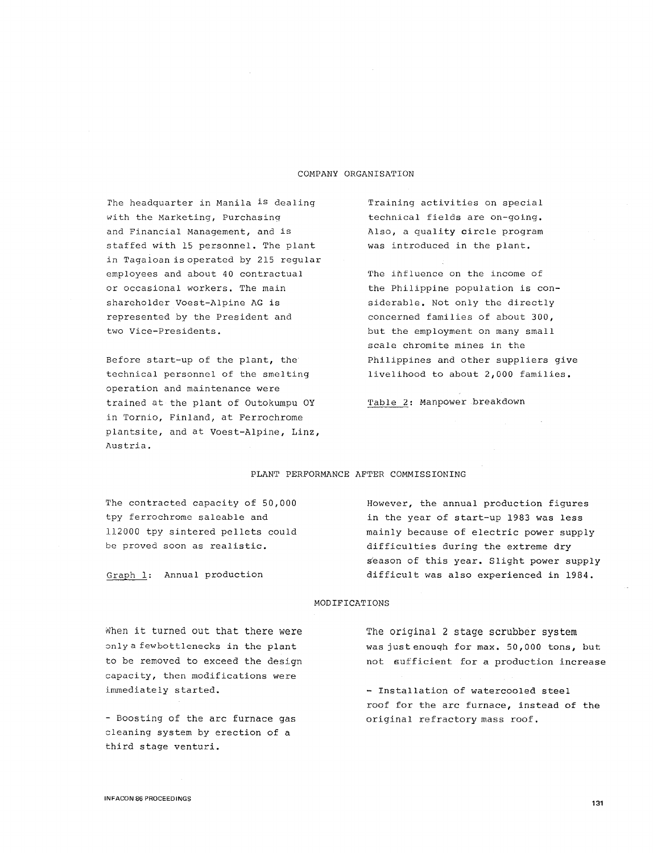### COMPANY ORGANISATION

*The* headquarter in Manila is dealing with the Marketing, Purchasing and Financial Management, and is staffed with 15 personnel. The plant in Tagaloan is operated by 215 regular employees and about 40 contractual or occasional workers. The main shareholder Voest-Alpine AG is represented by the President and two Vice-Presidents.

Before start-up of the plant, the technical personnel of the smelting operation and maintenance were trained at the plant of Outokumpu OY in Tornio, Finland, at Ferrochrome plantsite, and at Voest-Alpine, Linz, Austria.

Training activities on special technical fields are on-going. Also, a quality circle program was introduced in the plant.

The influence on the income of the Philippine population is considerable. Not only the directly concerned families of about 300, but the employment on many small scale chromite mines in the Philippines and other suppliers give livelihood to about 2,000 families.

Table 2: Manpower breakdown

### PLANT PERFORMANCE AFTER COMMISSIONING

The contracted capacity of 50,000 tpy ferrochrome saleable and 112000 tpy sintered pellets could be proved soon as realistic.

Graph 1: Annual production

However, the annual production figures in the year of start-up 1983 was less mainly because of electric power supply difficulties during the extreme dry season of this year. Slight power supply difficult was also experienced in 1984.

#### MODIFICATIONS

When it turned out that there were only a fewbottlenecks in the plant to be removed to exceed the design capacity, then modifications were immediately started.

- Boosting of the arc furnace gas cleaning system by erection of a third stage venturi.

The original 2 stage scrubber system was justenouqh for max. 50,000 tons, but not sufficient for a production increase

- Installation of watercooled steel roof for the arc furnace, instead of the original refractory mass roof.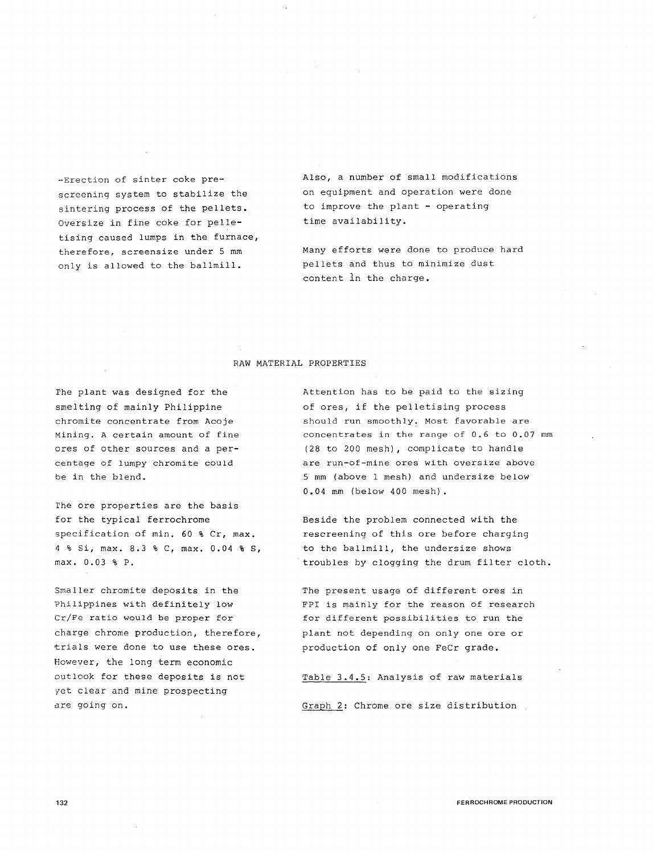-Erection of sinter coke prescreening system to stabilize the sintering process of the pellets. Oversize in fine coke for pelletising caused lumps in the furnace, therefore, screensize under 5 mm only is allowed to the ballmill.

Also, a number of small modifications on equipment and operation were done to improve the plant - operating time availability.

Many efforts were done to produce hard pellets and thus to minimize dust content ln the charge.

### RAW MATERIAL PROPERTIES

rhe plant was designed for the smelting of mainly Philippine chromite concentrate from Acoje Mining. A certain amount of fine ores of other sources and a percentage of lumpy chromite could be in the blend.

The ore properties are the basis for the typical ferrochrome specification of min. 60 % Cr, max. 4 % Si, max. 8.3 % C, max. 0.04 % S, max. 0. 03 % P.

Smaller chromite deposits in the Philippines with definitely low Cr/Fe ratio would be proper for charge chrome production, therefore, trials were done to use these ores. However, the long term economic outlook for these deposits is not yet clear and mine prospecting are going on.

Attention has to be paid to the sizing of ores, if the pelletising process should run smoothly. Most favorable are concentrates in the range of 0.6 to 0.07 mm (28 to 200 mesh), complicate to handle are run-of-mine ores with oversize above 5 mm (above 1 mesh) and undersize below 0.04 mm (below 400 mesh).

Beside the problem connected with the rescreening of this ore before charging to the ballmill, the undersize shows troubles by clogging the drum filter cloth.

The present usage of different ores in FPI is mainly for the reason of research for different possibilities to run the plant not depending on only one ore or production of only one FeCr grade.

Table 3.4.5: Analysis of raw materials Graph 2: Chrome ore size distribution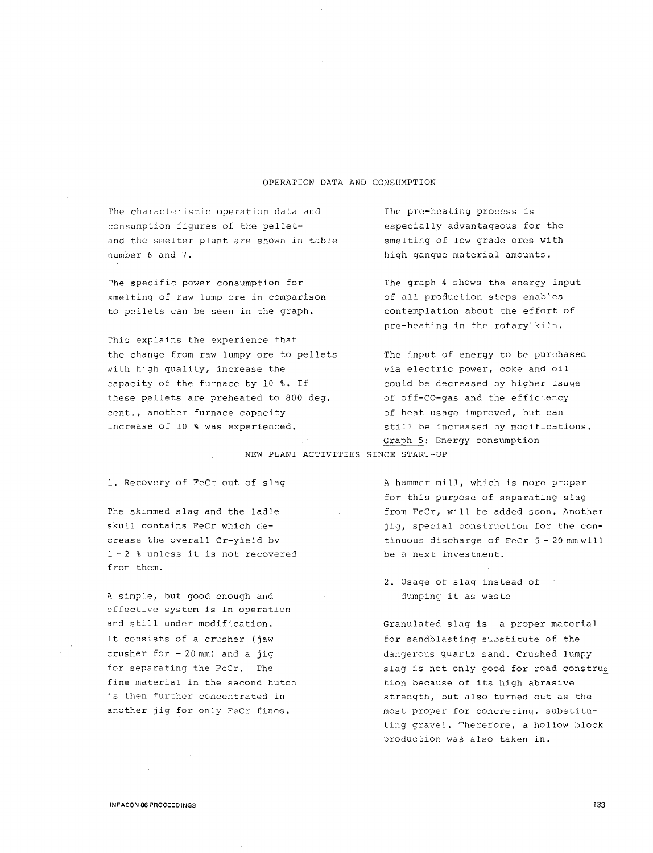### OPERATION DATA AND CONSUMPTION

The characteristic operation data and consumption figures of the pelletand the smelter plant are shown in table number 6 and 7.

rhe specific power consumption for smelting of raw lump ore in comparison to pellets can be seen in the graph.

rhis explains the experience that the change from raw lumpy ore to pellets with high quality, increase the capacity of the furnace by 10 %. If these pellets are preheated to 800 deg. cent., another furnace capacity increase of 10 % was experienced.

The pre-heating process is especially advantageous for the smelting of low grade ores with high gangue material amounts.

The graph 4 shows the energy input of all production steps enables contemplation about the effort of pre-heating in the rotary kiln.

The input of energy to be purchased via electric power, coke and oil could be decreased by higher usage of off-CO-gas and the efficiency of heat usage improved, but can still be increased by modifications. Graph 5: Energy consumption

NEW PLANT ACTIVITIES SINCE START-UP

1. Recovery of FeCr out of slag

rhe skimmed slag and the ladle skull contains FeCr which decrease the overall Cr-yield by 1 - 2 % unless it is not recovered from them.

A simple, but good enough and effective system is in operation and still under modification. It consists of a crusher (jaw crusher for  $-20$  mm) and a jig for separating the FeCr. The fine material in the second hutch is then further concentrated in another jig for only FeCr fines.

A hammer mill, which is more proper for this purpose of separating slag from FeCr, will be added soon. Another jig, special construction for the continuous discharge of FeCr 5 - 20 mm wi 11 be a next ihvestment.

2. Usage of slag instead of dumping it as waste

Granulated slag is a proper material for sandblasting substitute of the dangerous quartz sand. Crushed lumpy slag is not only good for road construe tion because of its high abrasive strength, but also turned out as the most proper for concreting, substituting gravel. Therefore, a hollow block production was also taken in.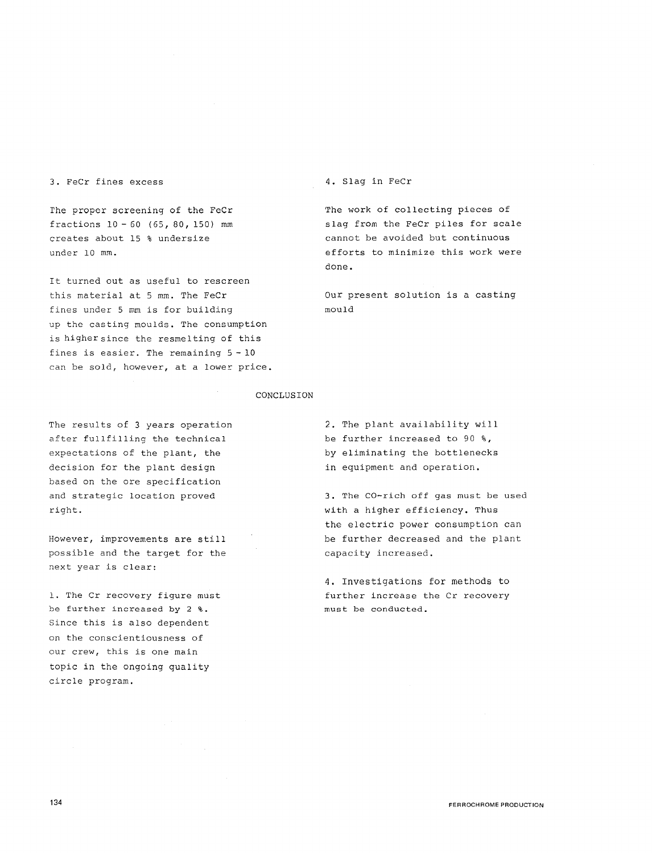3. FeCr fines excess

The proper screening of the FeCr fractions 10 - 60 (65, 80, 150) mm creates about 15 % undersize under 10 mm.

It turned out as useful to rescreen this material at 5 mm. The FeCr fines under 5 mm is for building up the casting moulds. The consumption is higher since the resmelting of this fines is easier. The remaining 5 - <sup>10</sup> can be sold, however, at a lower price. 4. Slag in FeCr

The work of collecting pieces of slag from the FeCr piles for scale cannot be avoided but continuous efforts to minimize this work were done.

Our present solution is a casting mould

#### CONCLUSION

The results of 3 years operation after fullfilling the technical expectations of the plant, the decision for the plant design based on the ore specification and strategic location proved right.

However, improvements are still possible and the target for the next year is clear:

1. The Cr recovery figure must be further increased by 2 %. Since this is also dependent on the conscientiousness of our crew, this is one main topic in the ongoing quality circle program.

2. The plant availability will be further increased to 90 %, by eliminating the bottlenecks in equipment and operation.

3. The CO-rich off gas must be used with a higher efficiency, Thus the electric power consumption can be further decreased and the plant capacity increased.

4. Investigations for methods to further increase the Cr recovery must be conducted.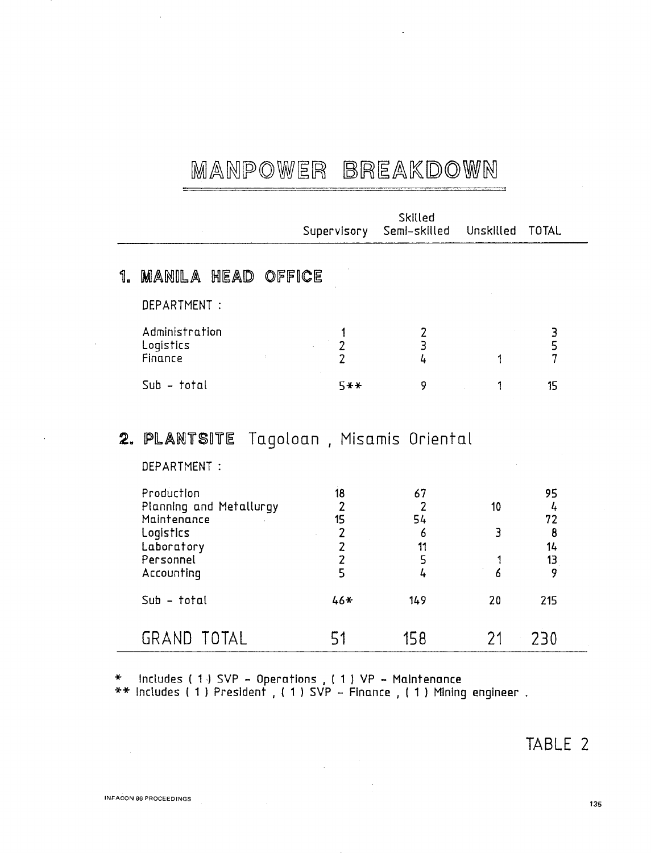## MANPOWER BREAKDOWN

|    |                                           | Supervisory    | Skilled<br>Semi-skilled     | Unskilled | TOTAL       |  |
|----|-------------------------------------------|----------------|-----------------------------|-----------|-------------|--|
| ใ. | <b>MANILA HEAD OFFICE</b><br>DEPARTMENT : |                |                             |           |             |  |
|    | Administration<br>Logistics<br>Finance    | $\overline{2}$ | $\frac{2}{3}$<br>4          | 1         | E<br>S<br>7 |  |
|    | $Sub - total$                             | 5**            | 9                           |           | 15          |  |
|    | 2. PLANTSITE<br>DEPARTMENT :              |                | Tagoloan , Misamis Oriental |           |             |  |
|    | Production                                | 18             | 67                          |           | 95          |  |

|                         |       |      |    | - - |  |
|-------------------------|-------|------|----|-----|--|
| Planning and Metallurgy |       |      | 10 | 4   |  |
| Maintenance             | 15    | 54   |    | 72  |  |
| Logistics               |       | 6    |    | 8   |  |
| Laboratory              |       | 11   |    | 14  |  |
| Personnel               |       | 5    |    | 13  |  |
| Accounting              |       | 4    | 6  |     |  |
| $Sub - total$           | $46*$ | 149  | 20 | 215 |  |
| GRAND TOTAL             |       | 15 R |    | フマハ |  |

\* Includes ( 1 -) SVP - Operations , ( 1 ) VP - Maintenance \*\* Includes ( 1 ) President , ( 1 ) SVP - Finance , ( 1 ) Mining engineer .

 $\sqrt{1-\beta}$ 

 $\sim$ 

### TABLE 2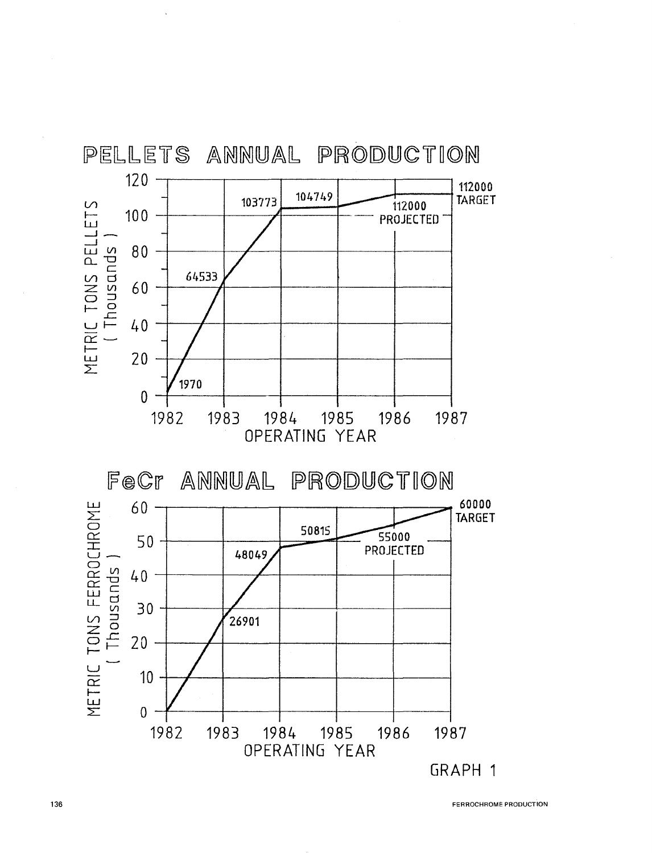

FERROCHROME PRODUCTION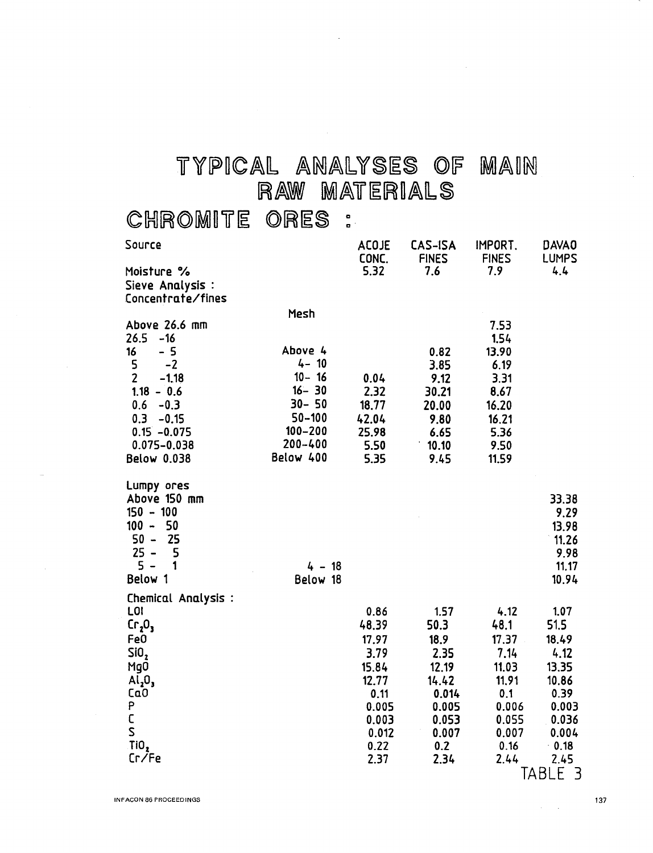# $T$   $Y$   $P$   $ICAL$   $ANALY$  SES OF MAIN RAW MATERIALS

### chromite ores :

| Source                         |                           | <b>ACOJE</b><br>CONC. | CAS-ISA<br><b>FINES</b> | IMPORT.<br><b>FINES</b> | DAVA <sub>0</sub><br><b>LUMPS</b> |
|--------------------------------|---------------------------|-----------------------|-------------------------|-------------------------|-----------------------------------|
| Moisture %                     |                           | 5.32                  | 7.6                     | 7.9                     | 4.4                               |
| Sieve Analysis :               |                           |                       |                         |                         |                                   |
| Concentrate/fines              |                           |                       |                         |                         |                                   |
|                                | Mesh                      |                       |                         |                         |                                   |
| Above 26.6 mm                  |                           |                       |                         | 7.53                    |                                   |
| 26.5<br>$-16$                  |                           |                       |                         | 1.54                    |                                   |
| 16<br>$-5$                     | Above 4                   |                       | 0.82                    | 13.90                   |                                   |
| 5<br>$-2$                      | $4 - 10$                  |                       | 3.85                    | 6.19                    |                                   |
| $\overline{2}$<br>$-1.18$      | $10 - 16$                 | 0.04                  | 9.12                    | 3.31                    |                                   |
| $1.18 - 0.6$                   | $16 - 30$                 | 2.32                  | 30.21                   | 8.67                    |                                   |
| $0.6 - 0.3$                    | $30 - 50$                 | 18.77                 | 20.00                   | 16.20                   |                                   |
| 0.3<br>$-0.15$                 | $50 - 100$<br>$100 - 200$ | 42.04                 | 9.80                    | 16.21                   |                                   |
| $0.15 - 0.075$                 | 200-400                   | 25.98                 | 6.65                    | 5.36                    |                                   |
| $0.075 - 0.038$                | Below 400                 | 5.50                  | 10.10                   | 9.50                    |                                   |
| Below 0.038                    |                           | 5.35                  | 9.45                    | 11.59                   |                                   |
| Lumpy ores                     |                           |                       |                         |                         |                                   |
| Above 150 mm                   |                           |                       |                         |                         | 33.38                             |
| $150 - 100$                    |                           |                       |                         |                         | 9.29                              |
| $100 - 50$                     |                           |                       |                         |                         | 13.98                             |
| 25<br>$50 -$                   |                           |                       |                         |                         | 11.26                             |
| $25 -$<br>5                    |                           |                       |                         |                         | 9.98                              |
| $5 -$<br>1                     | $4 - 18$                  |                       |                         |                         | 11.17                             |
| Below 1                        | Below 18                  |                       |                         |                         | 10.94                             |
| Chemical Analysis :            |                           |                       |                         |                         |                                   |
| LOI                            |                           | 0.86                  | 1.57                    | 4.12                    | 1.07                              |
| Cr <sub>2</sub> O <sub>3</sub> |                           | 48.39                 | 50.3                    | 48.1                    | 51.5                              |
| Fe0                            |                           | 17.97                 | 18.9                    | 17.37                   | 18.49                             |
| SiO <sub>2</sub>               |                           | 3.79                  | 2.35                    | 7.14                    | 4.12                              |
| Mg0                            |                           | 15.84                 | 12.19                   | 11.03                   | 13.35                             |
| Al <sub>2</sub> O <sub>3</sub> |                           | 12.77                 | 14.42                   | 11.91                   | 10.86                             |
| Ca <sub>0</sub>                |                           | 0.11                  | 0.014                   | 0.1                     | 0.39                              |
| P                              |                           | 0.005                 | 0.005                   | 0.006                   | 0.003                             |
| C                              |                           | 0.003                 | 0.053                   | 0.055                   | 0.036                             |
| S                              |                           | 0.012                 | 0.007                   | 0.007                   | 0.004                             |
| TiO,                           |                           | 0.22                  | 0.2                     | 0.16                    | $-0.18$                           |
| Cr/Fe                          |                           | 2.37                  | 2.34                    | 2.44<br>┯               | 2.45<br>$\sim$ $\sim$ $\sim$      |

TABLE 3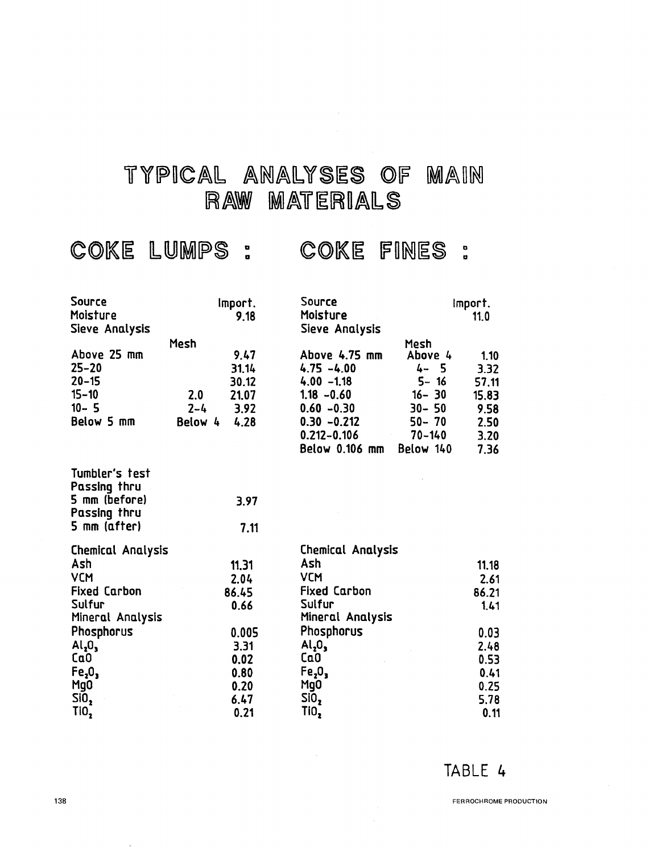## TYPICAL ANALYSES OF MAIN RAW MATERIALS

COKE LUMPS : COKE FINES :

| Source                         | Import.         | Source                         |            | import. |
|--------------------------------|-----------------|--------------------------------|------------|---------|
| Moisture                       | 9.18            | Moisture                       |            | 11.0    |
| Sieve Analysis                 |                 | Sieve Analysis                 |            |         |
|                                | Mesh            |                                | Mesh       |         |
| Above 25 mm                    | 9.47            | Above 4.75 mm                  | Above 4    | 1.10    |
| $25 - 20$                      | 31.14           | $4.75 - 4.00$                  | 4-5        | 3.32    |
| $20 - 15$                      | 30.12           | $4.00 - 1.18$                  | $5 - 16$   | 57.11   |
| $15 - 10$                      | 21.07<br>2.0    | $1.18 - 0.60$                  | $16 - 30$  | 15.83   |
| $10 - 5$                       | 3.92<br>$2 - 4$ | $0.60 - 0.30$                  | $30 - 50$  | 9.58    |
| Below 5 mm                     | 4.28<br>Below 4 | $0.30 - 0.212$                 | $50 - 70$  | 2.50    |
|                                |                 | $0.212 - 0.106$                | $70 - 140$ | 3.20    |
|                                |                 | Below 0.106 mm                 | Below 140  | 7.36    |
| Tumbler's test                 |                 |                                |            |         |
| Passing thru                   |                 |                                |            |         |
| 5 mm (before)                  | 3.97            |                                |            |         |
| Passing thru                   |                 |                                |            |         |
| 5 mm (after)                   | 7.11            |                                |            |         |
| <b>Chemical Analysis</b>       |                 | <b>Chemical Analysis</b>       |            |         |
| Ash                            | 11.31           | Ash                            |            | 11.18   |
| <b>VCM</b>                     | 2.04            | <b>VCM</b>                     |            | 2.61    |
| <b>Fixed Carbon</b>            | 86.45           | <b>Fixed Carbon</b>            |            | 86.21   |
| Sulfur                         | 0.66            | Sulfur                         |            | 1.41    |
| Mineral Analysis               |                 | Mineral Analysis               |            |         |
| Phosphorus                     | 0.005           | Phosphorus                     |            | 0.03    |
| Al <sub>2</sub> O <sub>3</sub> | 3.31            | Al <sub>2</sub> O <sub>3</sub> |            | 2.48    |
| Ca <sub>0</sub>                | 0.02            | Ca0                            |            | 0.53    |
| Fe <sub>2</sub> O <sub>3</sub> | 0.80            | Fe <sub>2</sub> O <sub>3</sub> |            | 0.41    |
| Mg <sub>0</sub>                | 0.20            | MgO                            |            | 0.25    |
| SiO,                           | 6.47            | SiO,                           |            | 5.78    |
| TiO <sub>2</sub>               | 0.21            | TiO <sub>2</sub>               |            | 0.11    |

### TABLE 4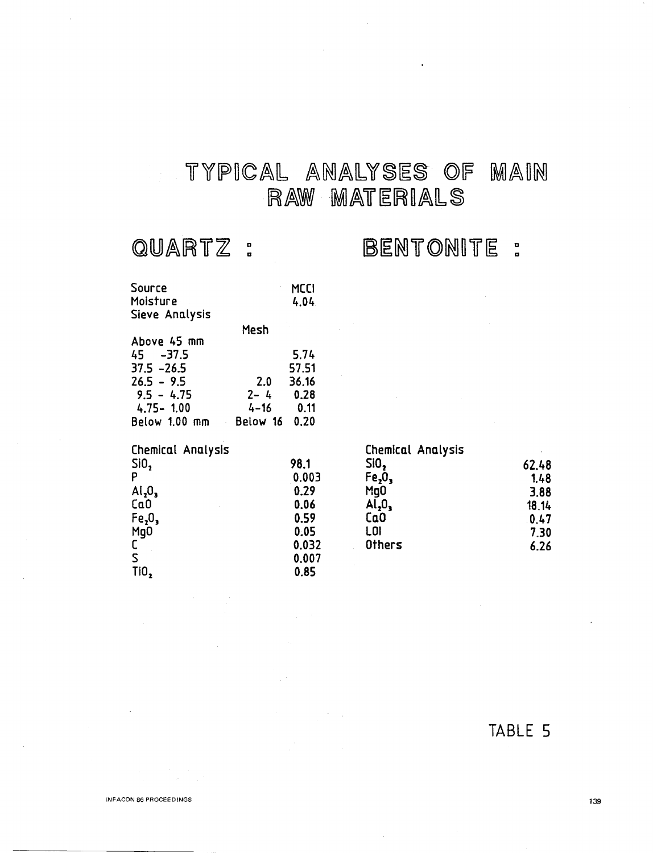### TYPICAL ANALYSES OF MAIN  $\mathcal{L}_{\mathcal{A}}$ RAW MATERIALS

## QUARTZ:

## BENTONITE :

| Source                         |          | MCCI  |                                |       |
|--------------------------------|----------|-------|--------------------------------|-------|
| Moisture                       |          | 4.04  |                                |       |
| Sieve Analysis                 |          |       |                                |       |
|                                | Mesh     |       |                                |       |
| Above 45 mm                    |          |       |                                |       |
| $45 - 37.5$                    |          | 5.74  |                                |       |
| $37.5 - 26.5$                  |          | 57.51 |                                |       |
| $26.5 - 9.5$                   | 2.0      | 36.16 |                                |       |
| $9.5 - 4.75$                   | $2 - 4$  | 0.28  |                                |       |
| $4.75 - 1.00$                  | $4 - 16$ | 0.11  |                                |       |
| Below 1.00 mm                  | Below 16 | 0.20  |                                |       |
|                                |          |       |                                |       |
| Chemical Analysis              |          |       | <b>Chemical Analysis</b>       |       |
| SiO <sub>2</sub>               |          | 98.1  | SiO,                           | 62.48 |
| P                              |          | 0.003 | Fe <sub>2</sub> O <sub>3</sub> | 1.48  |
| AI <sub>2</sub> O <sub>3</sub> |          | 0.29  | Mg <sub>0</sub>                | 3.88  |
| Ca <sub>0</sub>                |          | 0.06  | $Al_2O_3$                      | 18.14 |
| Fe <sub>2</sub> 0              |          | 0.59  | Ca0                            | 0.47  |
| Mg0                            |          | 0.05  | LOI                            | 7,30  |
| C                              |          | 0.032 | <b>Others</b>                  | 6.26  |
| S                              |          | 0.007 |                                |       |
| TiO,                           |          | 0.85  |                                |       |

TABLE 5

INFACON 86 PROCEEOINGS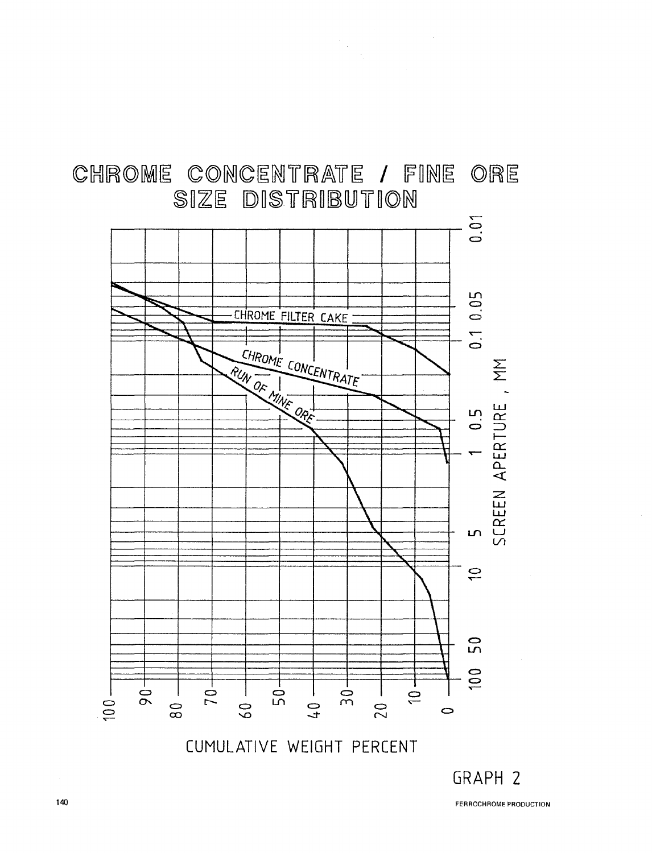

CHROME CONCENTRATE / FINE ORE

 $\begin{aligned} \frac{1}{\sqrt{2}}\mathbf{1}_{\mathcal{M}_{\mathcal{M}_{\mathcal{M}_{\mathcal{M}_{\mathcal{M}}}}}}\mathbf{1}_{\mathcal{M}_{\mathcal{M}_{\mathcal{M}_{\mathcal{M}}}}} \end{aligned}$ 

GRAPH 2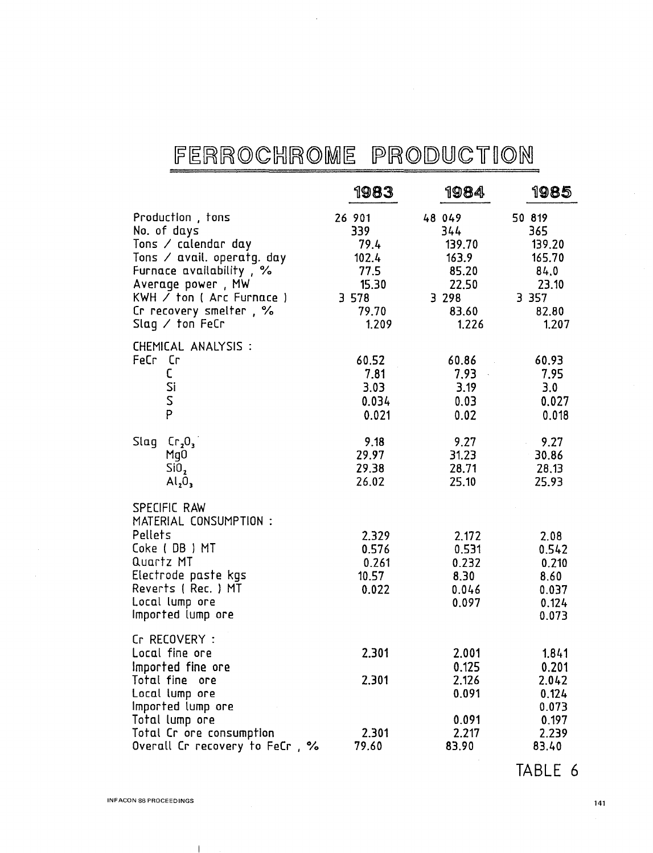# FERROCHROME PRODUCTION

 $\ddot{\phantom{a}}$ 

|                                                                                                                                                                                                                              | 1983                                                                         | 1984                                                                            | 1985                                                                            |
|------------------------------------------------------------------------------------------------------------------------------------------------------------------------------------------------------------------------------|------------------------------------------------------------------------------|---------------------------------------------------------------------------------|---------------------------------------------------------------------------------|
| Production, tons<br>No. of days<br>Tons $\angle$ calendar day<br>Tons / avail. operatg. day<br>Furnace availability, %<br>Average power, MW<br>KWH / ton ( Arc Furnace )<br>Cr recovery smelter, %<br>Slag $\angle$ ton FeCr | 26 901<br>339<br>79.4<br>102.4<br>77.5<br>15.30<br>3 5 7 8<br>79.70<br>1.209 | 48 049<br>344<br>139.70<br>163.9<br>85.20<br>22.50<br>3 2 9 8<br>83.60<br>1.226 | 50 819<br>365<br>139.20<br>165.70<br>84,0<br>23.10<br>3 3 5 7<br>82.80<br>1.207 |
| CHEMICAL ANALYSIS :<br>FeCr Cr<br>C<br>Si<br>S<br>P                                                                                                                                                                          | 60.52<br>7.81<br>3.03<br>0.034<br>0.021                                      | 60.86<br>7.93<br>3.19<br>0.03<br>0.02                                           | 60.93<br>7.95<br>3.0<br>0.027<br>0.018                                          |
| Cr <sub>2</sub> O <sub>3</sub><br>Slag<br>MgO<br>Si <sub>0</sub> ,<br>Al <sub>2</sub> O <sub>3</sub>                                                                                                                         | 9.18<br>29.97<br>29.38<br>26.02                                              | 9.27<br>31.23<br>28.71<br>25.10                                                 | 9.27<br>30.86<br>28.13<br>25.93                                                 |
| SPECIFIC RAW<br>MATERIAL CONSUMPTION :<br>Pellets<br>Coke (DB) MT<br>Quartz MT<br>Electrode paste kgs<br>Reverts (Rec.) MT<br>Local lump ore<br>Imported lump ore                                                            | 2.329<br>0.576<br>0.261<br>10.57<br>0.022                                    | 2.172<br>0.531<br>0.232<br>8.30<br>0.046<br>0.097                               | 2.08<br>0.542<br>0.210<br>8.60<br>0.037<br>0.124<br>0.073                       |
| Cr RECOVERY :<br>Local fine ore<br>Imported fine ore<br>Total fine ore<br>Local lump ore<br>Imported lump ore<br>Total lump ore<br>Total Cr ore consumption<br>Overall Cr recovery to FeCr, %                                | 2.301<br>2.301<br>2.301<br>79.60                                             | 2.001<br>0.125<br>2.126<br>0.091<br>0.091<br>2.217<br>83.90                     | 1.841<br>0.201<br>2.042<br>0.124<br>0.073<br>0.197<br>2.239<br>83.40            |

TABLE 6

 $\mathbf{I}$ 

 $\ddot{\phantom{0}}$ 

141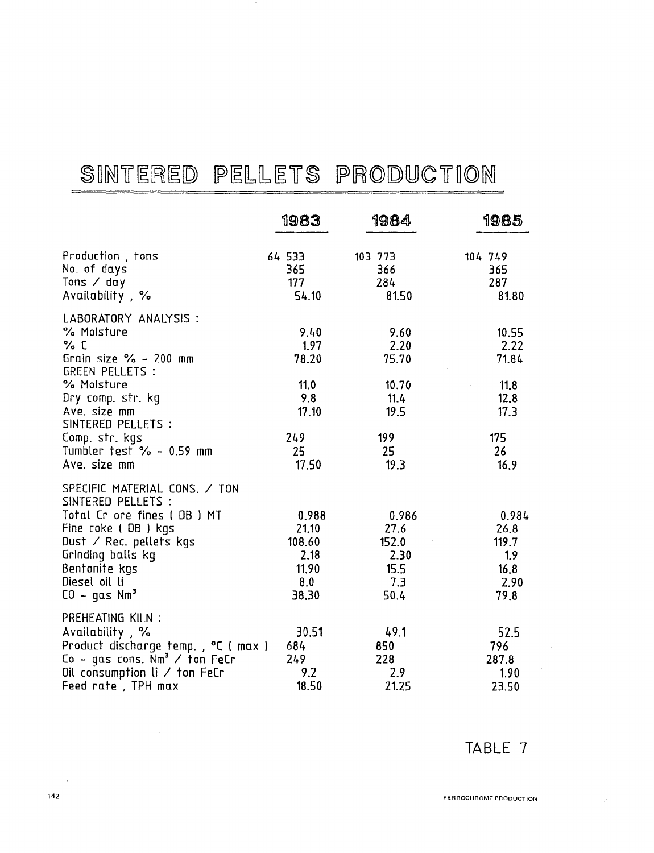# SINTERED PELLETS PRODUCTION

|                                                                                                                                                                                                                    | 1983                                                      | 1984                                                  | 1985                                                  |
|--------------------------------------------------------------------------------------------------------------------------------------------------------------------------------------------------------------------|-----------------------------------------------------------|-------------------------------------------------------|-------------------------------------------------------|
| Production, tons<br>No. of days<br>Tons $\angle$ day<br>Availability, %                                                                                                                                            | 64 533<br>365<br>177<br>54.10                             | 103 773<br>366<br>284<br>81.50                        | 104 749<br>365<br>287<br>81.80                        |
| LABORATORY ANALYSIS :<br>% Moisture<br>% C<br>Grain size $\%$ - 200 mm<br><b>GREEN PELLETS :</b><br>% Moisture<br>Dry comp. str. kg<br>Ave. size mm<br>SINTERED PELLETS :                                          | 9,40<br>1.97<br>78.20<br>11.0<br>9.8<br>17.10             | 9.60<br>2.20<br>75.70<br>10.70<br>11.4<br>19.5        | 10.55<br>2.22<br>71.84<br>11.8<br>12.8<br>17.3        |
| Comp. str. kgs<br>Tumbler $test$ $% - 0.59$ mm<br>Ave. size mm                                                                                                                                                     | 249<br>25<br>17.50                                        | 199<br>25<br>19.3                                     | 175<br>26<br>16.9                                     |
| SPECIFIC MATERIAL CONS. / TON<br>SINTERED PELLETS :<br>Total Cr ore fines (DB) MT<br>Fine coke (DB) kgs<br>Dust $\angle$ Rec. pellets kgs<br>Grinding balls kg<br>Bentonite kgs<br>Diesel oil li<br>$CO - gas Nm3$ | 0.988<br>21.10<br>108.60<br>2.18<br>11.90<br>8.0<br>38.30 | 0.986<br>27.6<br>152.0<br>2.30<br>15.5<br>7.3<br>50.4 | 0.984<br>26.8<br>119.7<br>1.9<br>16.8<br>2.90<br>79.8 |
| PREHEATING KILN :<br>Availability, %<br>Product discharge temp., °C ( max )<br>Co - gas cons. $Nm^3$ / ton FeCr<br>Oil consumption $\mathfrak l$ / ton FeCr<br>Feed rate, TPH max                                  | 30.51<br>684<br>249<br>9.2<br>18.50                       | 49.1<br>850<br>228<br>2.9<br>21.25                    | 52.5<br>796<br>287.8<br>1.90<br>23.50                 |

TABLE 7

 $\bar{z}$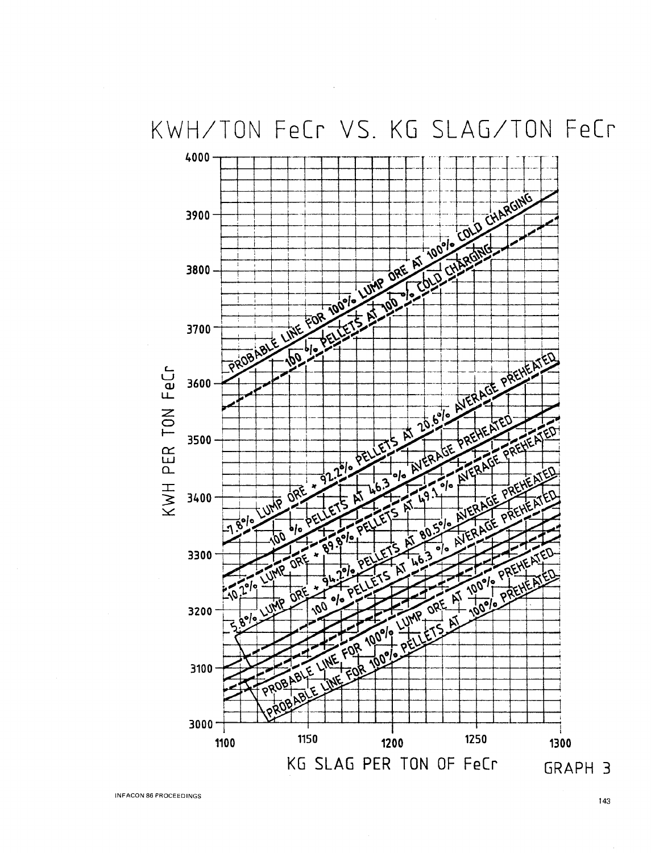KWH/TON FeCr VS. KG SLAG/TON FeCr



INFACON 86 PROCEEDINGS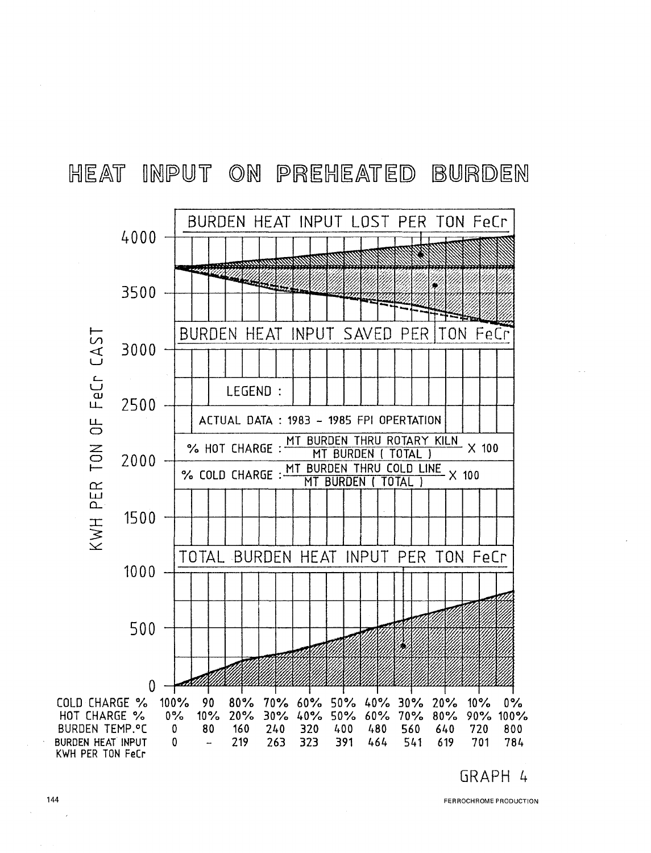### HEAT INPUT ON PREHEATED BURDEN



FERROCHROME PRODUCTION

144